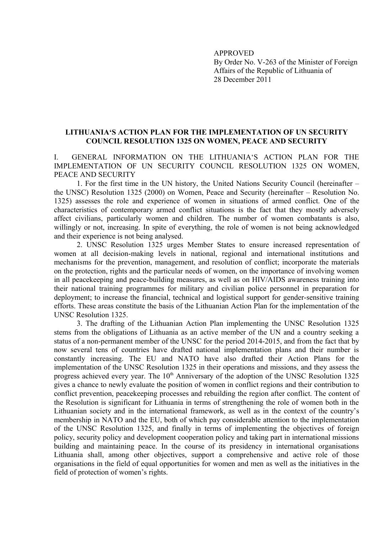**APPROVED** By Order No. V-263 of the Minister of Foreign Affairs of the Republic of Lithuania of 28 December 2011

## LITHUANIA'S ACTION PLAN FOR THE IMPLEMENTATION OF UN SECURITY **COUNCIL RESOLUTION 1325 ON WOMEN, PEACE AND SECURITY**

 $\mathbf{I}$ GENERAL INFORMATION ON THE LITHUANIA'S ACTION PLAN FOR THE IMPLEMENTATION OF UN SECURITY COUNCIL RESOLUTION 1325 ON WOMEN PEACE AND SECURITY

1. For the first time in the UN history, the United Nations Security Council (hereinafter – the UNSC) Resolution 1325 (2000) on Women, Peace and Security (hereinafter – Resolution No. 1325) assesses the role and experience of women in situations of armed conflict. One of the characteristics of contemporary armed conflict situations is the fact that they mostly adversely affect civilians, particularly women and children. The number of women combatants is also, willingly or not, increasing. In spite of everything, the role of women is not being acknowledged and their experience is not being analysed.

2. UNSC Resolution 1325 urges Member States to ensure increased representation of women at all decision-making levels in national, regional and international institutions and mechanisms for the prevention, management, and resolution of conflict; incorporate the materials on the protection, rights and the particular needs of women, on the importance of involving women in all peacekeeping and peace-building measures, as well as on HIV/AIDS awareness training into their national training programmes for military and civilian police personnel in preparation for deployment; to increase the financial, technical and logistical support for gender-sensitive training efforts. These areas constitute the basis of the Lithuanian Action Plan for the implementation of the **UNSC Resolution 1325** 

3. The drafting of the Lithuanian Action Plan implementing the UNSC Resolution 1325 stems from the obligations of Lithuania as an active member of the UN and a country seeking a status of a non-permanent member of the UNSC for the period 2014-2015, and from the fact that by now several tens of countries have drafted national implementation plans and their number is constantly increasing. The EU and NATO have also drafted their Action Plans for the implementation of the UNSC Resolution 1325 in their operations and missions, and they assess the progress achieved every year. The 10<sup>th</sup> Anniversary of the adoption of the UNSC Resolution 1325 gives a chance to newly evaluate the position of women in conflict regions and their contribution to conflict prevention, peace keeping processes and rebuilding the region after conflict. The content of the Resolution is significant for Lithuania in terms of strengthening the role of women both in the Lithuanian society and in the international framework, as well as in the context of the country's membership in NATO and the EU, both of which pay considerable attention to the implementation of the UNSC Resolution 1325, and finally in terms of implementing the objectives of foreign policy, security policy and development cooperation policy and taking part in international missions building and maintaining peace. In the course of its presidency in international organisations Lithuania shall, among other objectives, support a comprehensive and active role of those organisations in the field of equal opportunities for women and men as well as the initiatives in the field of protection of women's rights.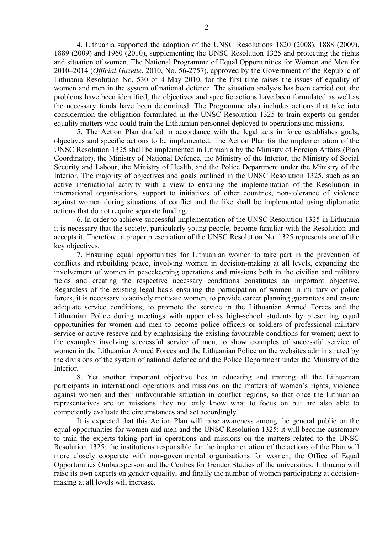4. Lithuania supported the adoption of the UNSC Resolutions 1820 (2008), 1888 (2009), 1889 (2009) and 1960 (2010), supplementing the UNSC Resolution 1325 and protecting the rights and situation of women. The National Programme of Equal Opportunities for Women and Men for 2010–2014 (Official Gazette, 2010, No. 56-2757), approved by the Government of the Republic of Lithuania Resolution No. 530 of 4 May 2010, for the first time raises the issues of equality of women and men in the system of national defence. The situation analysis has been carried out, the problems have been identified, the objectives and specific actions have been formulated as well as the necessary funds have been determined. The Programme also includes actions that take into consideration the obligation formulated in the UNSC Resolution 1325 to train experts on gender equality matters who could train the Lithuanian personnel deployed to operations and missions.

5. The Action Plan drafted in accordance with the legal acts in force establishes goals, objectives and specific actions to be implemented. The Action Plan for the implementation of the UNSC Resolution 1325 shall be implemented in Lithuania by the Ministry of Foreign Affairs (Plan Coordinator), the Ministry of National Defence, the Ministry of the Interior, the Ministry of Social Security and Labour, the Ministry of Health, and the Police Department under the Ministry of the Interior. The majority of objectives and goals outlined in the UNSC Resolution 1325, such as an active international activity with a view to ensuring the implementation of the Resolution in international organisations, support to initiatives of other countries, non-tolerance of violence against women during situations of conflict and the like shall be implemented using diplomatic actions that do not require separate funding.

6. In order to achieve successful implementation of the UNSC Resolution 1325 in Lithuania it is necessary that the society, particularly young people, become familiar with the Resolution and accepts it. Therefore, a proper presentation of the UNSC Resolution No. 1325 represents one of the key objectives.

7. Ensuring equal opportunities for Lithuanian women to take part in the prevention of conflicts and rebuilding peace, involving women in decision-making at all levels, expanding the involvement of women in peacekeeping operations and missions both in the civilian and military fields and creating the respective necessary conditions constitutes an important objective. Regardless of the existing legal basis ensuring the participation of women in military or police forces, it is necessary to actively motivate women, to provide career planning guarantees and ensure adequate service conditions; to promote the service in the Lithuanian Armed Forces and the Lithuanian Police during meetings with upper class high-school students by presenting equal opportunities for women and men to become police officers or soldiers of professional military service or active reserve and by emphasising the existing favourable conditions for women; next to the examples involving successful service of men, to show examples of successful service of women in the Lithuanian Armed Forces and the Lithuanian Police on the websites administrated by the divisions of the system of national defence and the Police Department under the Ministry of the Interior.

8. Yet another important objective lies in educating and training all the Lithuanian participants in international operations and missions on the matters of women's rights, violence against women and their unfavourable situation in conflict regions, so that once the Lithuanian representatives are on missions they not only know what to focus on but are also able to competently evaluate the circumstances and act accordingly.

It is expected that this Action Plan will raise awareness among the general public on the equal opportunities for women and men and the UNSC Resolution 1325; it will become customary to train the experts taking part in operations and missions on the matters related to the UNSC Resolution 1325; the institutions responsible for the implementation of the actions of the Plan will more closely cooperate with non-governmental organisations for women, the Office of Equal Opportunities Ombudsperson and the Centres for Gender Studies of the universities: Lithuania will raise its own experts on gender equality, and finally the number of women participating at decisionmaking at all levels will increase.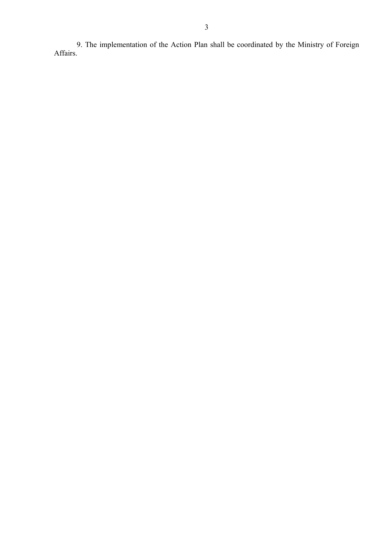9. The implementation of the Action Plan shall be coordinated by the Ministry of Foreign Affairs.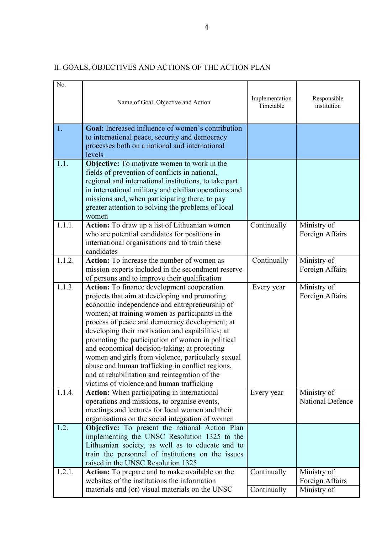| No.    | Name of Goal, Objective and Action                                                                                                                                                                                                                                                                                                                                                                                                                                                                                                                                                                                   | Implementation<br>Timetable | Responsible<br>institution                    |
|--------|----------------------------------------------------------------------------------------------------------------------------------------------------------------------------------------------------------------------------------------------------------------------------------------------------------------------------------------------------------------------------------------------------------------------------------------------------------------------------------------------------------------------------------------------------------------------------------------------------------------------|-----------------------------|-----------------------------------------------|
| 1.     | Goal: Increased influence of women's contribution<br>to international peace, security and democracy<br>processes both on a national and international<br>levels                                                                                                                                                                                                                                                                                                                                                                                                                                                      |                             |                                               |
| 1.1.   | <b>Objective:</b> To motivate women to work in the<br>fields of prevention of conflicts in national,<br>regional and international institutions, to take part<br>in international military and civilian operations and<br>missions and, when participating there, to pay<br>greater attention to solving the problems of local<br>women                                                                                                                                                                                                                                                                              |                             |                                               |
| 1.1.1. | Action: To draw up a list of Lithuanian women<br>who are potential candidates for positions in<br>international organisations and to train these<br>candidates                                                                                                                                                                                                                                                                                                                                                                                                                                                       | Continually                 | Ministry of<br>Foreign Affairs                |
| 1.1.2. | <b>Action:</b> To increase the number of women as<br>mission experts included in the secondment reserve<br>of persons and to improve their qualification                                                                                                                                                                                                                                                                                                                                                                                                                                                             | Continually                 | Ministry of<br>Foreign Affairs                |
| 1.1.3. | Action: To finance development cooperation<br>projects that aim at developing and promoting<br>economic independence and entrepreneurship of<br>women; at training women as participants in the<br>process of peace and democracy development; at<br>developing their motivation and capabilities; at<br>promoting the participation of women in political<br>and economical decision-taking; at protecting<br>women and girls from violence, particularly sexual<br>abuse and human trafficking in conflict regions,<br>and at rehabilitation and reintegration of the<br>victims of violence and human trafficking | Every year                  | Ministry of<br>Foreign Affairs                |
| 1.1.4. | <b>Action:</b> When participating in international<br>operations and missions, to organise events,<br>meetings and lectures for local women and their<br>organisations on the social integration of women                                                                                                                                                                                                                                                                                                                                                                                                            | Every year                  | Ministry of<br><b>National Defence</b>        |
| 1.2.   | Objective: To present the national Action Plan<br>implementing the UNSC Resolution 1325 to the<br>Lithuanian society, as well as to educate and to<br>train the personnel of institutions on the issues<br>raised in the UNSC Resolution 1325                                                                                                                                                                                                                                                                                                                                                                        |                             |                                               |
| 1.2.1. | Action: To prepare and to make available on the<br>websites of the institutions the information<br>materials and (or) visual materials on the UNSC                                                                                                                                                                                                                                                                                                                                                                                                                                                                   | Continually<br>Continually  | Ministry of<br>Foreign Affairs<br>Ministry of |

## II. GOALS, OBJECTIVES AND ACTIONS OF THE ACTION PLAN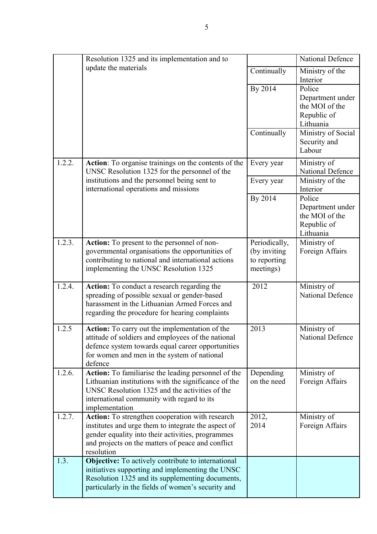|        | Resolution 1325 and its implementation and to                                                                                                                                                                                  |                                                             | National Defence                                                         |
|--------|--------------------------------------------------------------------------------------------------------------------------------------------------------------------------------------------------------------------------------|-------------------------------------------------------------|--------------------------------------------------------------------------|
|        | update the materials                                                                                                                                                                                                           | Continually                                                 | Ministry of the<br>Interior                                              |
|        |                                                                                                                                                                                                                                | By 2014                                                     | Police<br>Department under<br>the MOI of the<br>Republic of<br>Lithuania |
|        |                                                                                                                                                                                                                                | Continually                                                 | Ministry of Social<br>Security and<br>Labour                             |
| 1.2.2. | Action: To organise trainings on the contents of the<br>UNSC Resolution 1325 for the personnel of the                                                                                                                          | Every year                                                  | Ministry of<br><b>National Defence</b>                                   |
|        | institutions and the personnel being sent to<br>international operations and missions                                                                                                                                          | Every year                                                  | Ministry of the<br>Interior                                              |
|        |                                                                                                                                                                                                                                | By 2014                                                     | Police<br>Department under<br>the MOI of the<br>Republic of<br>Lithuania |
| 1.2.3. | Action: To present to the personnel of non-<br>governmental organisations the opportunities of<br>contributing to national and international actions<br>implementing the UNSC Resolution 1325                                  | Periodically,<br>(by inviting)<br>to reporting<br>meetings) | Ministry of<br>Foreign Affairs                                           |
| 1.2.4. | Action: To conduct a research regarding the<br>spreading of possible sexual or gender-based<br>harassment in the Lithuanian Armed Forces and<br>regarding the procedure for hearing complaints                                 | 2012                                                        | Ministry of<br>National Defence                                          |
| 1.2.5  | Action: To carry out the implementation of the<br>attitude of soldiers and employees of the national<br>defence system towards equal career opportunities<br>for women and men in the system of national<br>defence            | 2013                                                        | Ministry of<br>National Defence                                          |
| 1.2.6. | Action: To familiarise the leading personnel of the<br>Lithuanian institutions with the significance of the<br>UNSC Resolution 1325 and the activities of the<br>international community with regard to its<br>implementation  | Depending<br>on the need                                    | Ministry of<br>Foreign Affairs                                           |
| 1.2.7. | Action: To strengthen cooperation with research<br>institutes and urge them to integrate the aspect of<br>gender equality into their activities, programmes<br>and projects on the matters of peace and conflict<br>resolution | 2012,<br>2014                                               | Ministry of<br>Foreign Affairs                                           |
| 1.3.   | <b>Objective:</b> To actively contribute to international<br>initiatives supporting and implementing the UNSC<br>Resolution 1325 and its supplementing documents,<br>particularly in the fields of women's security and        |                                                             |                                                                          |